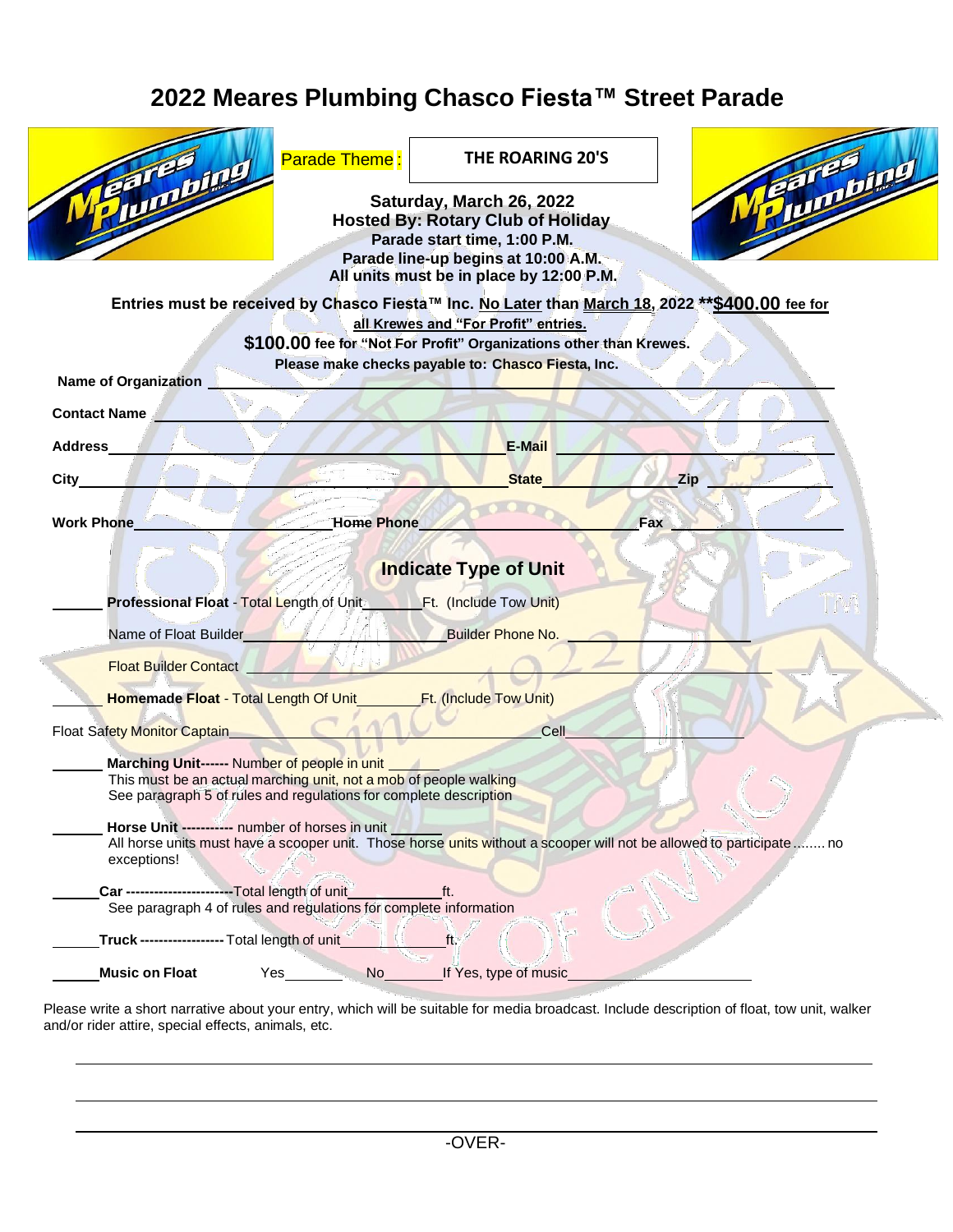# **2022 Meares Plumbing Chasco Fiesta™ Street Parade**

| <b>Parade Theme:</b><br><b>Hunting</b><br>Entries must be received by Chasco Fiesta™ Inc. No Later than March 18, 2022 ** \$400.00 fee for                                             | THE ROARING 20'S<br>Saturday, March 26, 2022<br><b>Hosted By: Rotary Club of Holiday</b><br>Parade start time, 1:00 P.M.<br>Parade line-up begins at 10:00 A.M.<br>All units must be in place by 12:00 P.M. |     | <b>Chaptor</b> |
|----------------------------------------------------------------------------------------------------------------------------------------------------------------------------------------|-------------------------------------------------------------------------------------------------------------------------------------------------------------------------------------------------------------|-----|----------------|
| <b>Name of Organization</b>                                                                                                                                                            | all Krewes and "For Profit" entries.<br>\$100.00 fee for "Not For Profit" Organizations other than Krewes.<br>Please make checks payable to: Chasco Fiesta, Inc.                                            |     |                |
| <b>Contact Name</b>                                                                                                                                                                    |                                                                                                                                                                                                             |     |                |
| <b>Address</b>                                                                                                                                                                         | <b>E-Mail</b>                                                                                                                                                                                               |     |                |
| $City_$                                                                                                                                                                                | <b>State</b>                                                                                                                                                                                                | Zip |                |
| <b>Home Phone</b><br><b>Work Phone</b>                                                                                                                                                 |                                                                                                                                                                                                             | Fax |                |
|                                                                                                                                                                                        | <b>Indicate Type of Unit</b>                                                                                                                                                                                |     |                |
| <b>Professional Float - Total Length of Uniter</b>                                                                                                                                     | Ft. (Include Tow Unit)                                                                                                                                                                                      |     |                |
| Name of Float Builder                                                                                                                                                                  | <b>Builder Phone No.</b>                                                                                                                                                                                    |     |                |
| Float Builder Contact                                                                                                                                                                  |                                                                                                                                                                                                             |     |                |
| Homemade Float - Total Length Of Unit                                                                                                                                                  | Ft. (Include Tow Unit)                                                                                                                                                                                      |     |                |
| Float Safety Monitor Captain                                                                                                                                                           | Cell                                                                                                                                                                                                        |     |                |
| Marching Unit------ Number of people in unit<br>This must be an actual marching unit, not a mob of people walking<br>See paragraph 5 of rules and regulations for complete description |                                                                                                                                                                                                             |     |                |
| Horse Unit ----------- number of horses in unit<br>All horse units must have a scooper unit. Those horse units without a scooper will not be allowed to participate  no<br>exceptions! |                                                                                                                                                                                                             |     |                |
| Car -----------------------Total length of unit<br>See paragraph 4 of rules and regulations for complete information                                                                   | ft.                                                                                                                                                                                                         |     |                |
| Truck------------------ Total length of unit                                                                                                                                           | ft.                                                                                                                                                                                                         |     |                |
| <b>Music on Float</b><br>Yes<br>No                                                                                                                                                     | If Yes, type of music                                                                                                                                                                                       |     |                |

Please write a short narrative about your entry, which will be suitable for media broadcast. Include description of float, tow unit, walker and/or rider attire, special effects, animals, etc.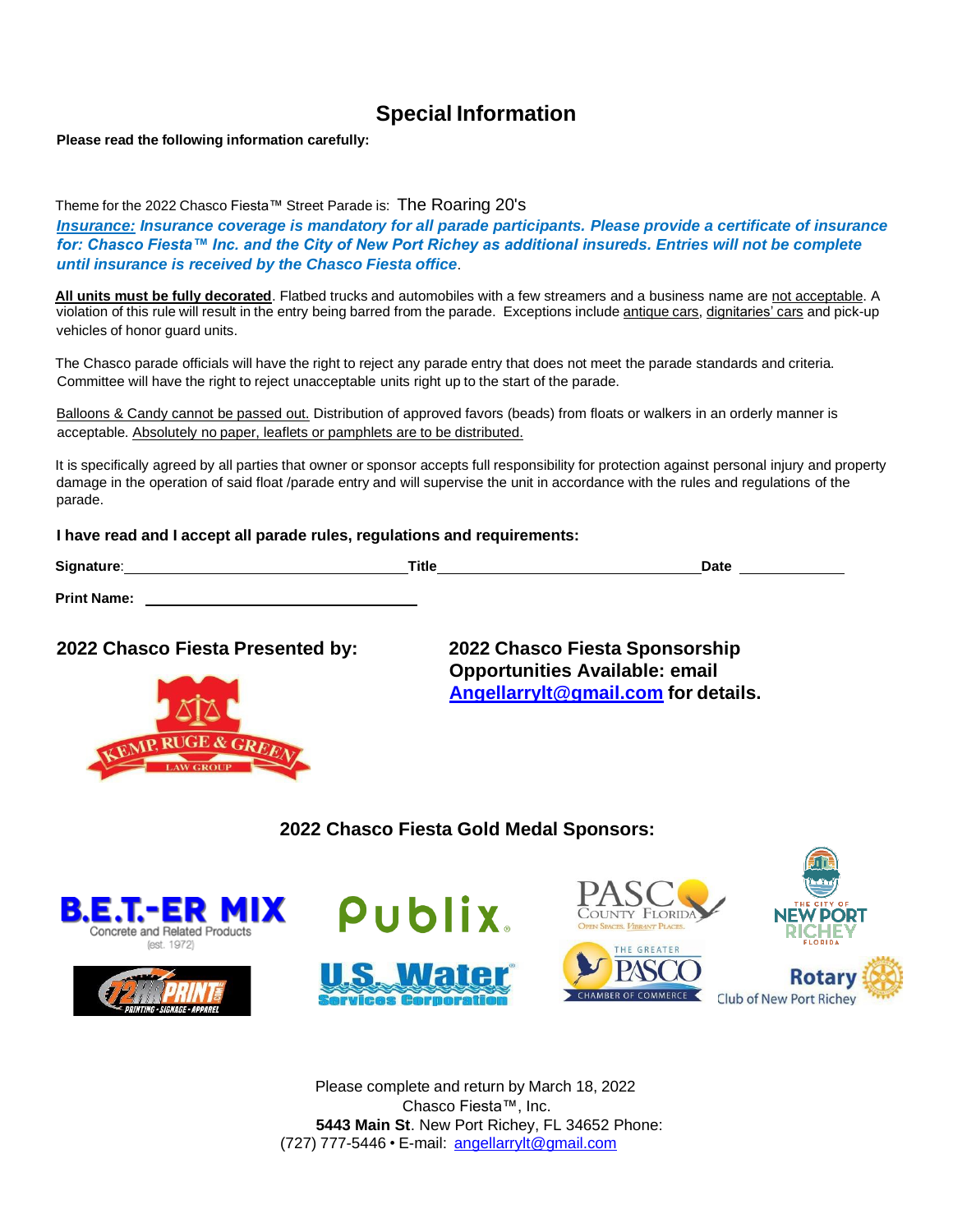### **Special Information**

**Please read the following information carefully:**

Theme for the 2022 Chasco Fiesta™ Street Parade is: The Roaring 20's

*Insurance: Insurance coverage is mandatory for all parade participants. Please provide a certificate of insurance for: Chasco Fiesta™ Inc. and the City of New Port Richey as additional insureds. Entries will not be complete until insurance is received by the Chasco Fiesta office*.

**All units must be fully decorated**. Flatbed trucks and automobiles with a few streamers and a business name are not acceptable. A violation of this rule will result in the entry being barred from the parade. Exceptions include antique cars, dignitaries' cars and pick-up vehicles of honor guard units.

The Chasco parade officials will have the right to reject any parade entry that does not meet the parade standards and criteria. Committee will have the right to reject unacceptable units right up to the start of the parade.

Balloons & Candy cannot be passed out. Distribution of approved favors (beads) from floats or walkers in an orderly manner is acceptable. Absolutely no paper, leaflets or pamphlets are to be distributed.

It is specifically agreed by all parties that owner or sponsor accepts full responsibility for protection against personal injury and property damage in the operation of said float /parade entry and will supervise the unit in accordance with the rules and regulations of the parade.

#### **I have read and I accept all parade rules, regulations and requirements:**

| Signature:         | <b>Title</b> | <b>Date</b> |
|--------------------|--------------|-------------|
| <b>Print Name:</b> |              |             |

#### **2022 Chasco Fiesta Presented by: 2022 Chasco Fiesta Sponsorship**



**Opportunities Available: email [Angellarrylt@gmail.com](mailto:Angellarrylt@gmail.com) for details.**

#### **2022 Chasco Fiesta Gold Medal Sponsors:**











Please complete and return by March 18, 2022 Chasco Fiesta™, Inc. **5443 Main St**. New Port Richey, FL 34652 Phone: (727) 777-5446 • E-mail: [angellarrylt@gmail.com](mailto:angellarrylt@gmail.com)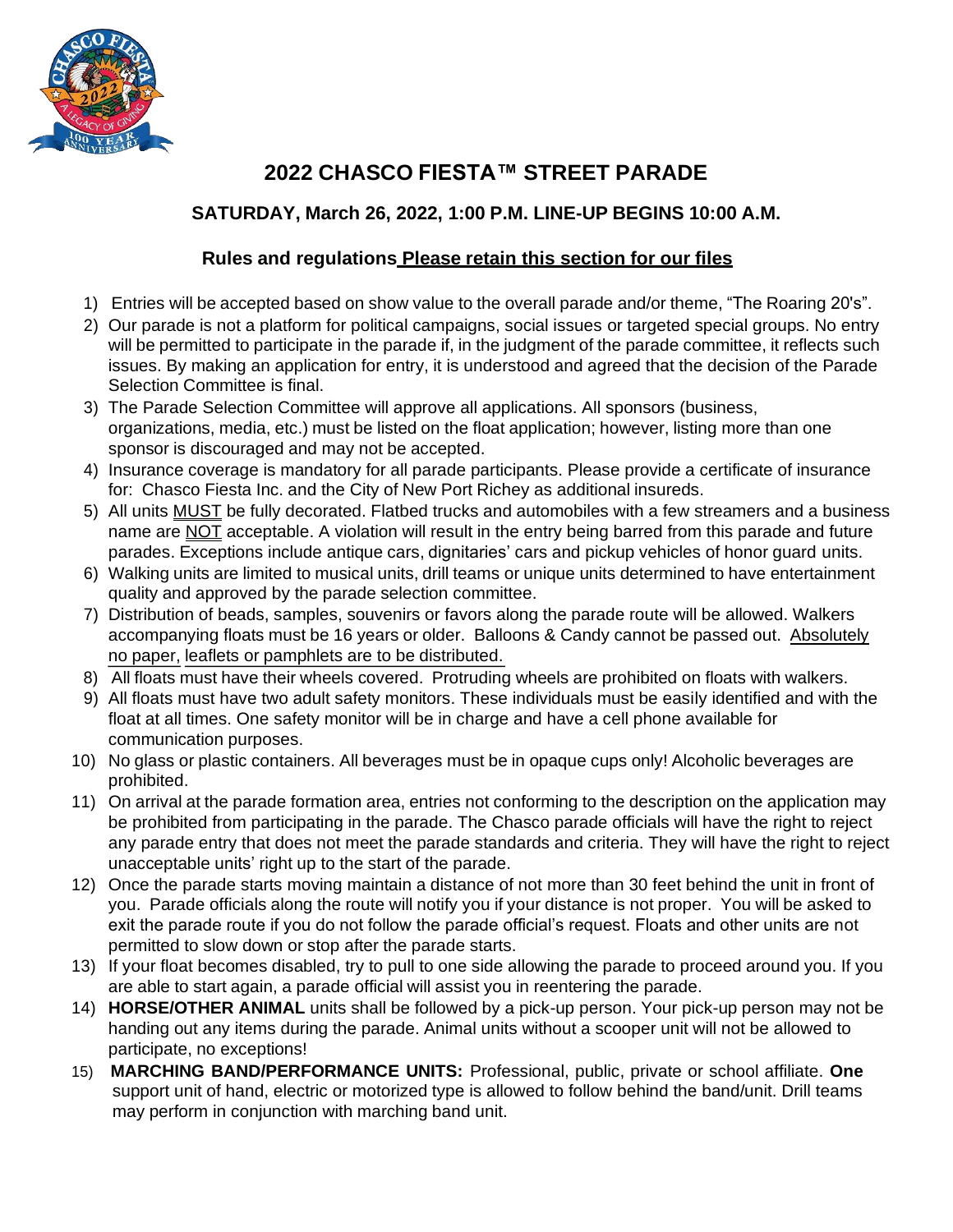

## **2022 CHASCO FIESTA™ STREET PARADE**

#### **SATURDAY, March 26, 2022, 1:00 P.M. LINE-UP BEGINS 10:00 A.M.**

#### **Rules and regulations Please retain this section for our files**

- 1) Entries will be accepted based on show value to the overall parade and/or theme, "The Roaring 20's".
- 2) Our parade is not a platform for political campaigns, social issues or targeted special groups. No entry will be permitted to participate in the parade if, in the judgment of the parade committee, it reflects such issues. By making an application for entry, it is understood and agreed that the decision of the Parade Selection Committee is final.
- 3) The Parade Selection Committee will approve all applications. All sponsors (business, organizations, media, etc.) must be listed on the float application; however, listing more than one sponsor is discouraged and may not be accepted.
- 4) Insurance coverage is mandatory for all parade participants. Please provide a certificate of insurance for: Chasco Fiesta Inc. and the City of New Port Richey as additional insureds.
- 5) All units MUST be fully decorated. Flatbed trucks and automobiles with a few streamers and a business name are NOT acceptable. A violation will result in the entry being barred from this parade and future parades. Exceptions include antique cars, dignitaries' cars and pickup vehicles of honor guard units.
- 6) Walking units are limited to musical units, drill teams or unique units determined to have entertainment quality and approved by the parade selection committee.
- 7) Distribution of beads, samples, souvenirs or favors along the parade route will be allowed. Walkers accompanying floats must be 16 years or older. Balloons & Candy cannot be passed out. Absolutely no paper, leaflets or pamphlets are to be distributed.
- 8) All floats must have their wheels covered. Protruding wheels are prohibited on floats with walkers.
- 9) All floats must have two adult safety monitors. These individuals must be easily identified and with the float at all times. One safety monitor will be in charge and have a cell phone available for communication purposes.
- 10) No glass or plastic containers. All beverages must be in opaque cups only! Alcoholic beverages are prohibited.
- 11) On arrival at the parade formation area, entries not conforming to the description on the application may be prohibited from participating in the parade. The Chasco parade officials will have the right to reject any parade entry that does not meet the parade standards and criteria. They will have the right to reject unacceptable units' right up to the start of the parade.
- 12) Once the parade starts moving maintain a distance of not more than 30 feet behind the unit in front of you. Parade officials along the route will notify you if your distance is not proper. You will be asked to exit the parade route if you do not follow the parade official's request. Floats and other units are not permitted to slow down or stop after the parade starts.
- 13) If your float becomes disabled, try to pull to one side allowing the parade to proceed around you. If you are able to start again, a parade official will assist you in reentering the parade.
- 14) **HORSE/OTHER ANIMAL** units shall be followed by a pick-up person. Your pick-up person may not be handing out any items during the parade. Animal units without a scooper unit will not be allowed to participate, no exceptions!
- 15) **MARCHING BAND/PERFORMANCE UNITS:** Professional, public, private or school affiliate. **One** support unit of hand, electric or motorized type is allowed to follow behind the band/unit. Drill teams may perform in conjunction with marching band unit.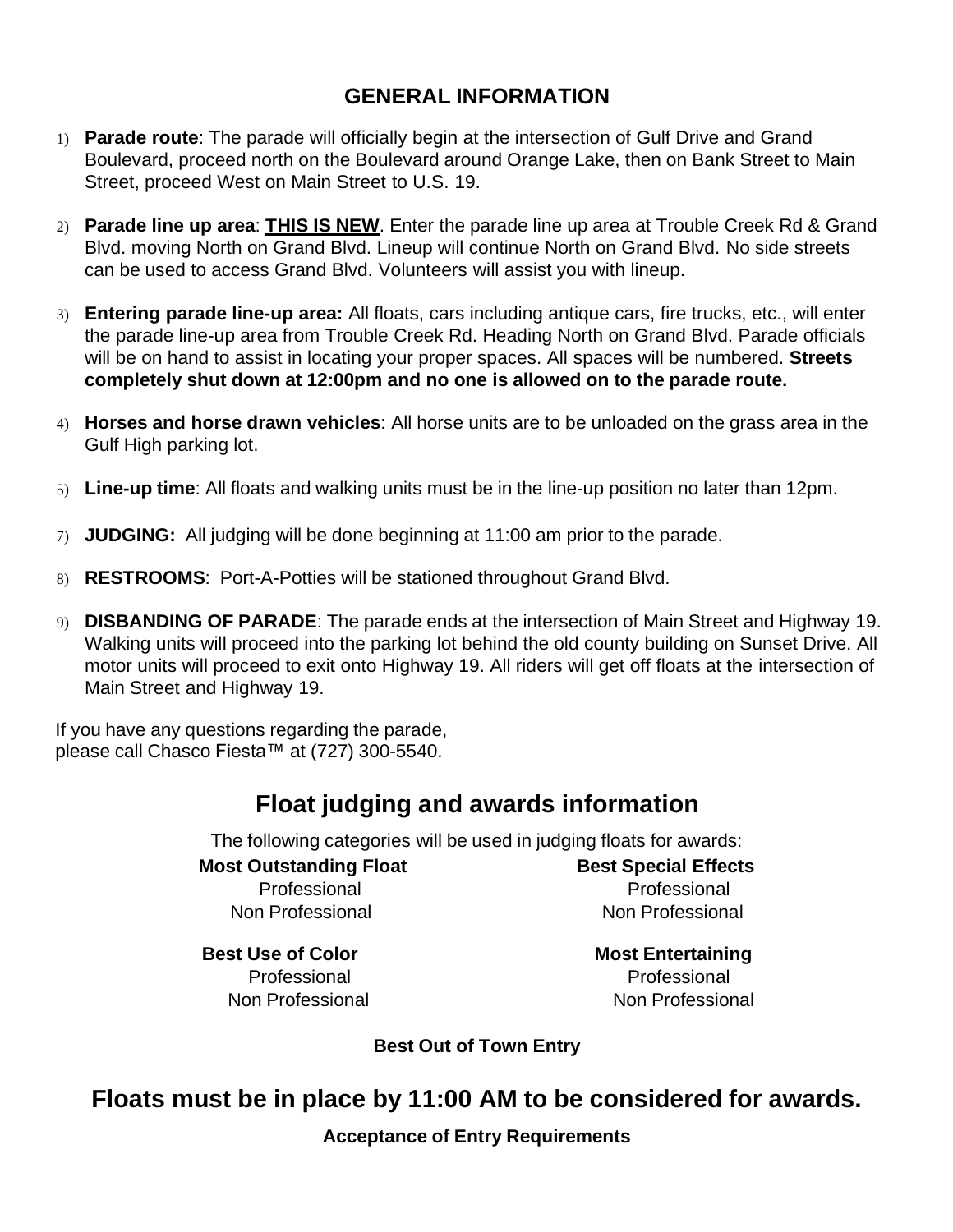### **GENERAL INFORMATION**

- 1) **Parade route**: The parade will officially begin at the intersection of Gulf Drive and Grand Boulevard, proceed north on the Boulevard around Orange Lake, then on Bank Street to Main Street, proceed West on Main Street to U.S. 19.
- 2) **Parade line up area**: **THIS IS NEW**. Enter the parade line up area at Trouble Creek Rd & Grand Blvd. moving North on Grand Blvd. Lineup will continue North on Grand Blvd. No side streets can be used to access Grand Blvd. Volunteers will assist you with lineup.
- 3) **Entering parade line-up area:** All floats, cars including antique cars, fire trucks, etc., will enter the parade line-up area from Trouble Creek Rd. Heading North on Grand Blvd. Parade officials will be on hand to assist in locating your proper spaces. All spaces will be numbered. **Streets completely shut down at 12:00pm and no one is allowed on to the parade route.**
- 4) **Horses and horse drawn vehicles**: All horse units are to be unloaded on the grass area in the Gulf High parking lot.
- 5) **Line-up time**: All floats and walking units must be in the line-up position no later than 12pm.
- 7) **JUDGING:** All judging will be done beginning at 11:00 am prior to the parade.
- 8) **RESTROOMS**: Port-A-Potties will be stationed throughout Grand Blvd.
- 9) **DISBANDING OF PARADE**: The parade ends at the intersection of Main Street and Highway 19. Walking units will proceed into the parking lot behind the old county building on Sunset Drive. All motor units will proceed to exit onto Highway 19. All riders will get off floats at the intersection of Main Street and Highway 19.

If you have any questions regarding the parade, please call Chasco Fiesta™ at (727) 300-5540.

## **Float judging and awards information**

The following categories will be used in judging floats for awards:

### **Most Outstanding Float Best Special Effects**

Non Professional Non Professional

Professional Professional

**Best Use of Color Most Entertaining**

Professional Professional Non Professional Non Professional

**Best Out of Town Entry**

## **Floats must be in place by 11:00 AM to be considered for awards.**

**Acceptance of Entry Requirements**